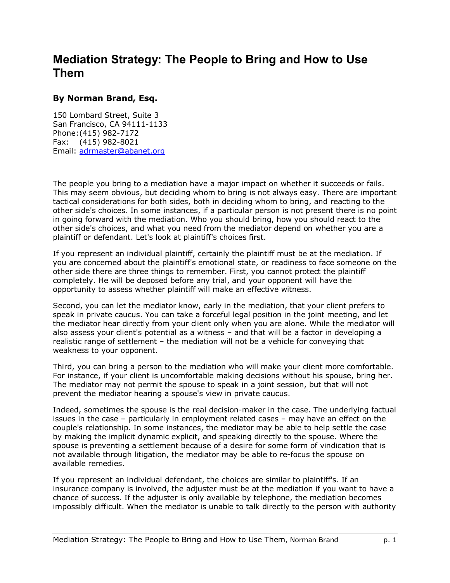## **Mediation Strategy: The People to Bring and How to Use Them**

## **By Norman Brand, Esq.**

150 Lombard Street, Suite 3 San Francisco, CA 94111-1133 Phone: (415) 982-7172 Fax: (415) 982-8021 Email: adrmaster@abanet.org

The people you bring to a mediation have a major impact on whether it succeeds or fails. This may seem obvious, but deciding whom to bring is not always easy. There are important tactical considerations for both sides, both in deciding whom to bring, and reacting to the other side's choices. In some instances, if a particular person is not present there is no point in going forward with the mediation. Who you should bring, how you should react to the other side's choices, and what you need from the mediator depend on whether you are a plaintiff or defendant. Let's look at plaintiff's choices first.

If you represent an individual plaintiff, certainly the plaintiff must be at the mediation. If you are concerned about the plaintiff's emotional state, or readiness to face someone on the other side there are three things to remember. First, you cannot protect the plaintiff completely. He will be deposed before any trial, and your opponent will have the opportunity to assess whether plaintiff will make an effective witness.

Second, you can let the mediator know, early in the mediation, that your client prefers to speak in private caucus. You can take a forceful legal position in the joint meeting, and let the mediator hear directly from your client only when you are alone. While the mediator will also assess your client's potential as a witness  $-$  and that will be a factor in developing a realistic range of settlement  $-$  the mediation will not be a vehicle for conveying that weakness to your opponent.

Third, you can bring a person to the mediation who will make your client more comfortable. For instance, if your client is uncomfortable making decisions without his spouse, bring her. The mediator may not permit the spouse to speak in a joint session, but that will not prevent the mediator hearing a spouse's view in private caucus.

Indeed, sometimes the spouse is the real decision-maker in the case. The underlying factual issues in the case  $-$  particularly in employment related cases  $-$  may have an effect on the couple's relationship. In some instances, the mediator may be able to help settle the case by making the implicit dynamic explicit, and speaking directly to the spouse. Where the spouse is preventing a settlement because of a desire for some form of vindication that is not available through litigation, the mediator may be able to re-focus the spouse on available remedies.

If you represent an individual defendant, the choices are similar to plaintiff's. If an insurance company is involved, the adjuster must be at the mediation if you want to have a chance of success. If the adjuster is only available by telephone, the mediation becomes impossibly difficult. When the mediator is unable to talk directly to the person with authority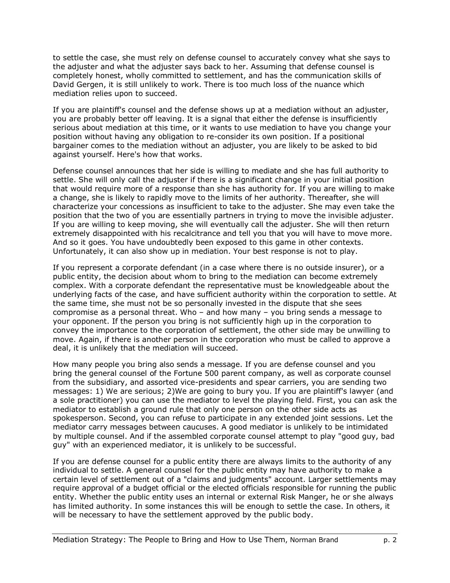to settle the case, she must rely on defense counsel to accurately convey what she says to the adjuster and what the adjuster says back to her. Assuming that defense counsel is completely honest, wholly committed to settlement, and has the communication skills of David Gergen, it is still unlikely to work. There is too much loss of the nuance which mediation relies upon to succeed.

If you are plaintiff's counsel and the defense shows up at a mediation without an adjuster, you are probably better off leaving. It is a signal that either the defense is insufficiently serious about mediation at this time, or it wants to use mediation to have you change your position without having any obligation to re-consider its own position. If a positional bargainer comes to the mediation without an adjuster, you are likely to be asked to bid against yourself. Here's how that works.

Defense counsel announces that her side is willing to mediate and she has full authority to settle. She will only call the adjuster if there is a significant change in your initial position that would require more of a response than she has authority for. If you are willing to make a change, she is likely to rapidly move to the limits of her authority. Thereafter, she will characterize your concessions as insufficient to take to the adjuster. She may even take the position that the two of you are essentially partners in trying to move the invisible adjuster. If you are willing to keep moving, she will eventually call the adjuster. She will then return extremely disappointed with his recalcitrance and tell you that you will have to move more. And so it goes. You have undoubtedly been exposed to this game in other contexts. Unfortunately, it can also show up in mediation. Your best response is not to play.

If you represent a corporate defendant (in a case where there is no outside insurer), or a public entity, the decision about whom to bring to the mediation can become extremely complex. With a corporate defendant the representative must be knowledgeable about the underlying facts of the case, and have sufficient authority within the corporation to settle. At the same time, she must not be so personally invested in the dispute that she sees compromise as a personal threat. Who  $-$  and how many  $-$  you bring sends a message to your opponent. If the person you bring is not sufficiently high up in the corporation to convey the importance to the corporation of settlement, the other side may be unwilling to move. Again, if there is another person in the corporation who must be called to approve a deal, it is unlikely that the mediation will succeed.

How many people you bring also sends a message. If you are defense counsel and you bring the general counsel of the Fortune 500 parent company, as well as corporate counsel from the subsidiary, and assorted vice-presidents and spear carriers, you are sending two messages: 1) We are serious; 2)We are going to bury you. If you are plaintiff's lawyer (and a sole practitioner) you can use the mediator to level the playing field. First, you can ask the mediator to establish a ground rule that only one person on the other side acts as spokesperson. Second, you can refuse to participate in any extended joint sessions. Let the mediator carry messages between caucuses. A good mediator is unlikely to be intimidated by multiple counsel. And if the assembled corporate counsel attempt to play "good guy, bad guy" with an experienced mediator, it is unlikely to be successful.

If you are defense counsel for a public entity there are always limits to the authority of any individual to settle. A general counsel for the public entity may have authority to make a certain level of settlement out of a "claims and judgments" account. Larger settlements may require approval of a budget official or the elected officials responsible for running the public entity. Whether the public entity uses an internal or external Risk Manger, he or she always has limited authority. In some instances this will be enough to settle the case. In others, it will be necessary to have the settlement approved by the public body.